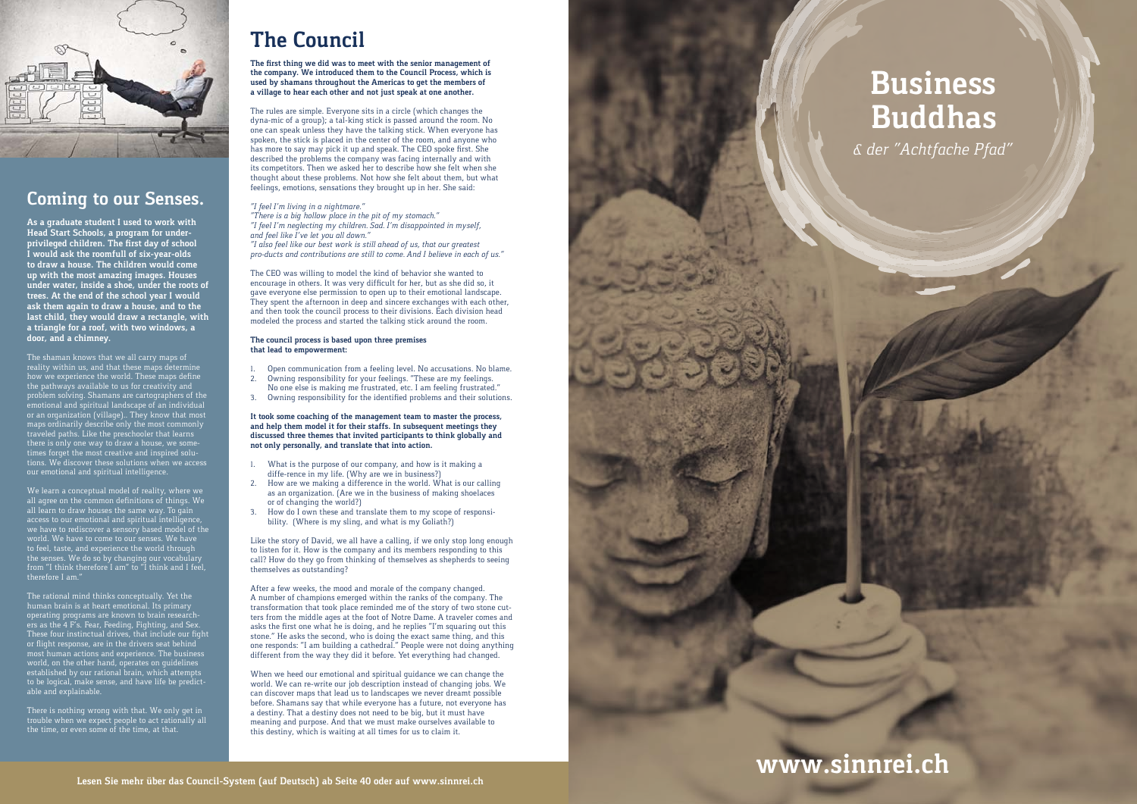

### **Coming to our Senses.**

**As a graduate student I used to work with Head Start Schools, a program for under privileged children. The first day of school I would ask the roomfull of six-year-olds to draw a house. The children would come up with the most amazing images. Houses under water, inside a shoe, under the roots of trees. At the end of the school year I would ask them again to draw a house, and to the last child, they would draw a rectangle, with a triangle for a roof, with two windows, a door, and a chimney.** 

The shaman knows that we all carry maps of reality within us, and that these maps determine how we experience the world. These maps define the pathways available to us for creativity and problem solving. Shamans are cartographers of the emotional and spiritual landscape of an individual or an organization (village).. They know that most maps ordinarily describe only the most commonly traveled paths. Like the preschooler that learns there is only one way to draw a house, we some times forget the most creative and inspired solu tions. We discover these solutions when we access our emotional and spiritual intelligence.

We learn a conceptual model of reality, where we all agree on the common definitions of things. We all learn to draw houses the same way. To gain access to our emotional and spiritual intelligence, we have to rediscover a sensory based model of the world. We have to come to our senses. We have to feel, taste, and experience the world through the senses. We do so by changing our vocabulary from "I think therefore I am" to "I think and I feel, therefore I am."

The rational mind thinks conceptually. Yet the human brain is at heart emotional. Its primary operating programs are known to brain research ers as the 4 F's. Fear, Feeding, Fighting, and Sex. These four instinctual drives, that include our fight or flight response, are in the drivers seat behind most human actions and experience. The business world, on the other hand, operates on guidelines established by our rational brain, which attempts to be logical, make sense, and have life be predict able and explainable.

There is nothing wrong with that. We only get in trouble when we expect people to act rationally all the time, or even some of the time, at that.

## **The Council**

**The first thing we did was to meet with the senior management of the company. We introduced them to the Council Process, which is used by shamans throughout the Americas to get the members of a village to hear each other and not just speak at one another.** 

After a few weeks, the mood and morale of the company changed. A number of champions emerged within the ranks of the company. The transformation that took place reminded me of the story of two stone cut ters from the middle ages at the foot of Notre Dame. A traveler comes and asks the first one what he is doing, and he replies "I'm squaring out this stone." He asks the second, who is doing the exact same thing, and this one responds: "I am building a cathedral." People were not doing anything different from the way they did it before. Yet everything had changed.

The rules are simple. Everyone sits in a circle (which changes the dyna-mic of a group); a tal-king stick is passed around the room. No one can speak unless they have the talking stick. When everyone has spoken, the stick is placed in the center of the room, and anyone who has more to say may pick it up and speak. The CEO spoke first. She described the problems the company was facing internally and with its competitors. Then we asked her to describe how she felt when she thought about these problems. Not how she felt about them, but what feelings, emotions, sensations they brought up in her. She said:

#### *"I feel I'm living in a nightmare."*

*"There is a big hollow place in the pit of my stomach." "I feel I'm neglecting my children. Sad. I'm disappointed in myself, and feel like I've let you all down."*

*"I also feel like our best work is still ahead of us, that our greatest pro-ducts and contributions are still to come. And I believe in each of us."*

The CEO was willing to model the kind of behavior she wanted to encourage in others. It was very difficult for her, but as she did so, it gave everyone else permission to open up to their emotional landscape. They spent the afternoon in deep and sincere exchanges with each other, and then took the council process to their divisions. Each division head modeled the process and started the talking stick around the room.

#### **The council process is based upon three premises that lead to empowerment:**

- 1. Open communication from a feeling level. No accusations. No blame.
- 2. Owning responsibility for your feelings. "These are my feelings.
- No one else is making me frustrated, etc. I am feeling frustrated." 3. Owning responsibility for the identified problems and their solutions.

**It took some coaching of the management team to master the process, and help them model it for their staffs. In subsequent meetings they discussed three themes that invited participants to think globally and not only personally, and translate that into action.**

- 1. What is the purpose of our company, and how is it making a diffe-rence in my life. (Why are we in business?)
- 2. How are we making a difference in the world. What is our calling as an organization. (Are we in the business of making shoelaces or of changing the world?)
- 3. How do I own these and translate them to my scope of responsibility. (Where is my sling, and what is my Goliath?)

Like the story of David, we all have a calling, if we only stop long enough to listen for it. How is the company and its members responding to this call? How do they go from thinking of themselves as shepherds to seeing themselves as outstanding?

When we heed our emotional and spiritual guidance we can change the world. We can re-write our job description instead of changing jobs. We can discover maps that lead us to landscapes we never dreamt possible before. Shamans say that while everyone has a future, not everyone has a destiny. That a destiny does not need to be big, but it must have meaning and purpose. And that we must make ourselves available to this destiny, which is waiting at all times for us to claim it.

# **Business Buddhas**

*& der "Achtfache Pfad"*

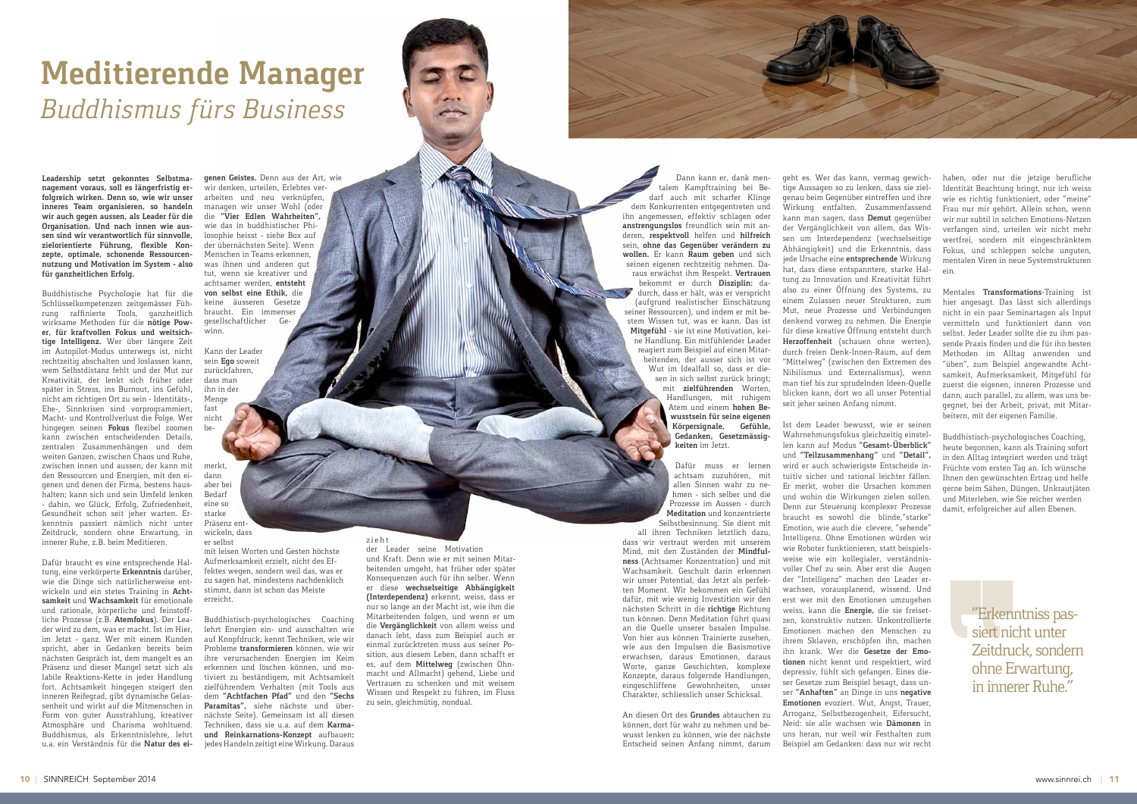

**Leadership setzt gekonntes Selbstmanagement voraus, soll es längerfristig erfolgreich wirken. Denn so, wie wir unser inneres Team organisieren, so handeln wir auch gegen aussen, als Leader für die Organisation. Und nach innen wie aussen sind wir verantwortlich für sinnvolle, zielorientierte Führung, flexible Konzepte, optimale, schonende Ressourcennutzung und Motivation im System – also für ganzheitlichen Erfolg.**

Buddhistische Psychologie hat für die Schlüsselkompetenzen zeitgemässer Führung raffinierte Tools, ganzheitlich wirksame Methoden für die **nötige Power, für kraftvollen Fokus und weitsichtige Intelligenz.** Wer über längere Zeit im Autopilot-Modus unterwegs ist, nicht rechtzeitig abschalten und loslassen kann, wem Selbstdistanz fehlt und der Mut zur Kreativität, der lenkt sich früher oder später in Stress, ins Burnout, ins Gefühl, nicht am richtigen Ort zu sein – Identitäts-, Ehe-, Sinnkrisen sind vorprogrammiert, Macht- und Kontrollverlust die Folge. Wer hingegen seinen **Fokus** flexibel zoomen kann zwischen entscheidenden Details, zentralen Zusammenhängen und dem weiten Ganzen, zwischen Chaos und Ruhe, zwischen innen und aussen, der kann mit den Ressourcen und Energien, mit den eigenen und denen der Firma, bestens haushalten; kann sich und sein Umfeld lenken – dahin, wo Glück, Erfolg, Zufriedenheit, Gesundheit schon seit jeher warten. Erkenntnis passiert nämlich nicht unter Zeitdruck, sondern ohne Erwartung, in innerer Ruhe, z.B. beim Meditieren.

Dafür braucht es eine entsprechende Haltung, eine verkörperte **Erkenntnis** darüber, wie die Dinge sich natürlicherweise entwickeln und ein stetes Training in **Achtsamkeit** und **Wachsamkeit** für emotionale und rationale, körperliche und feinstoffliche Prozesse (z.B. **Atemfokus**). Der Leader wird zu dem, was er macht. Ist im Hier, im Jetzt – ganz. Wer mit einem Kunden spricht, aber in Gedanken bereits beim nächsten Gespräch ist, dem mangelt es an Präsenz und dieser Mangel setzt sich als labile Reaktions-Kette in jeder Handlung fort. Achtsamkeit hingegen steigert den inneren Reifegrad, gibt dynamische Gelassenheit und wirkt auf die Mitmenschen in Form von guter Ausstrahlung, kreativer Atmosphäre und Charisma wohltuend. Buddhismus, als Erkenntnislehre, lehrt u.a. ein Verständnis für die **Natur des ei-**

**genen Geistes.** Denn aus der Art, wie wir denken, urteilen, Erlebtes verarbeiten und neu verknüpfen, managen wir unser Wohl (oder die **"Vier Edlen Wahrheiten",** wie das in buddhistischer Philosophie heisst – siehe Box auf der übernächsten Seite). Wenn Menschen in Teams erkennen, was ihnen und anderen gut tut, wenn sie kreativer und achtsamer werden, **entsteht von selbst eine Ethik,** die keine äusseren Gesetze braucht. Ein immenser<br>gesellschaftlicher Gegesellschaftlicher winn.

Kann der Leader sein **Ego** soweit zurückfahren, dass man ihn in der Menge fast nicht be-

merkt, dann aber bei Bedarf eine so starke Präsenz entwickeln, dass er selbst

> mit leisen Worten und Gesten höchste Aufmerksamkeit erzielt, nicht des Effektes wegen, sondern weil das, was er zu sagen hat, mindestens nachdenklich stimmt, dann ist schon das Meiste erreicht.

Buddhistisch-psychologisches Coaching lehrt Energien ein- und ausschalten wie auf Knopfdruck, kennt Techniken, wie wir Probleme **transformieren** können, wie wir ihre verursachenden Energien im Keim erkennen und löschen können, und motiviert zu beständigem, mit Achtsamkeit zielführendem Verhalten (mit Tools aus dem **"Achtfachen Pfad"** und den **"Sechs Paramitas",** siehe nächste und übernächste Seite). Gemeinsam ist all diesen Techniken, dass sie u.a. auf dem **Karmaund Reinkarnations-Konzept** aufbauen**:** jedes Handeln zeitigt eine Wirkung. Daraus

#### z i e h t

der Leader seine Motivation und Kraft. Denn wie er mit seinen Mitarbeitenden umgeht, hat früher oder später Konsequenzen auch für ihn selber. Wenn er diese **wechselseitige Abhängigkeit (Interdependenz)** erkennt, weiss, dass er nur so lange an der Macht ist, wie ihm die Mitarbeitenden folgen, und wenn er um die **Vergänglichkeit** von allem weiss und danach lebt, dass zum Beispiel auch er einmal zurücktreten muss aus seiner Position, aus diesem Leben, dann schafft er es, auf dem **Mittelweg** (zwischen Ohnmacht und Allmacht) gehend, Liebe und Vertrauen zu schenken und mit weisem Wissen und Respekt zu führen, im Fluss zu sein, gleichmütig, nondual.

# **Meditierende Manager**  *Buddhismus fürs Business*

Dann kann er, dank mentalem Kampftraining bei Bedarf auch mit scharfer Klinge dem Konkurrenten entgegentreten und ihn angemessen, effektiv schlagen oder **anstrengungslos** freundlich sein mit anderen, **respektvoll** helfen und **hilfreich**  sein, **ohne das Gegenüber verändern zu wollen.** Er kann **Raum geben** und sich seinen eigenen rechtzeitig nehmen. Daraus erwächst ihm Respekt. **Vertrauen** bekommt er durch **Disziplin:** dadurch, dass er hält, was er verspricht (aufgrund realistischer Einschätzung seiner Ressourcen), und indem er mit bestem Wissen tut, was er kann. Das ist **Mitgefühl** – sie ist eine Motivation, keine Handlung. Ein mitfühlender Leader reagiert zum Beispiel auf einen Mitarbeitenden, der ausser sich ist vor Wut im Idealfall so, dass er diesen in sich selbst zurück bringt; mit **zielführenden** Worten, Handlungen, mit ruhigem Atem und einem **hohen Bewusstsein für seine eigenen Körpersignale, Gefühle, Gedanken, Gesetzmässigkeiten** im Jetzt.

> Dafür muss er lernen achtsam zuzuhören, mit allen Sinnen wahr zu nehmen – sich selber und die Prozesse im Aussen – durch **Meditation** und konzentrierte Selbstbesinnung. Sie dient mit

all ihren Techniken letztlich dazu, dass wir vertraut werden mit unserem Mind, mit den Zuständen der **Mindfulness** (Achtsamer Konzentration) und mit Wachsamkeit. Geschult darin erkennen wir unser Potential, das Jetzt als perfekten Moment. Wir bekommen ein Gefühl dafür, mit wie wenig Investition wir den nächsten Schritt in die **richtige** Richtung tun können. Denn Meditation führt quasi an die Quelle unserer basalen Impulse. Von hier aus können Trainierte zusehen, wie aus den Impulsen die Basismotive erwachsen, daraus Emotionen, daraus Worte, ganze Geschichten, komplexe Konzepte, daraus folgernde Handlungen, eingeschliffene Gewohnheiten, unser Charakter, schliesslich unser Schicksal.

An diesen Ort des **Grundes** abtauchen zu können, dort für wahr zu nehmen und bewusst lenken zu können, wie der nächste Entscheid seinen Anfang nimmt, darum geht es. Wer das kann, vermag gewichtige Aussagen so zu lenken, dass sie zielgenau beim Gegenüber eintreffen und ihre Wirkung entfalten. Zusammenfassend kann man sagen, dass **Demut** gegenüber der Vergänglichkeit von allem, das Wissen um Interdependenz (wechselseitige Abhängigkeit) und die Erkenntnis, dass jede Ursache eine **entsprechende** Wirkung hat, dass diese entspanntere, starke Haltung zu Innovation und Kreativität führt also zu einer Öffnung des Systems, zu einem Zulassen neuer Strukturen, zum Mut, neue Prozesse und Verbindungen denkend vorweg zu nehmen. Die Energie für diese kreative Öffnung entsteht durch **Herzoffenheit** (schauen ohne werten), durch freien Denk-Innen-Raum, auf dem "Mittelweg" (zwischen den Extremen des Nihilismus und Externalismus), wenn man tief bis zur sprudelnden Ideen-Quelle blicken kann, dort wo all unser Potential seit jeher seinen Anfang nimmt.

Ist dem Leader bewusst, wie er seinen Wahrnehmungsfokus gleichzeitig einstellen kann auf Modus **"Gesamt-Überblick"** und **"Teilzusammenhang"** und **"Detail",**  wird er auch schwierigste Entscheide intuitiv sicher und rational leichter fällen. Er merkt, woher die Ursachen kommen und wohin die Wirkungen zielen sollen. Denn zur Steuerung komplexer Prozesse braucht es sowohl die "blinde,"starke" Emotion, wie auch die "clevere, "sehende" Intelligenz. Ohne Emotionen würden wir wie Roboter funktionieren, statt beispielsweise wie ein kollegialer, verständnisvoller Chef zu sein. Aber erst die "Augen der "Intelligenz" machen den Leader erwachsen, vorausplanend, wissend. Und erst wer mit den Emotionen umzugehen weiss, kann die **Energie,** die sie freisetzen, konstruktiv nutzen. Unkontrollierte Emotionen machen den Menschen zu ihrem Sklaven, erschöpfen ihn, machen ihn krank. Wer die **Gesetze der Emotionen** nicht kennt und respektiert, wird depressiv, fühlt sich gefangen. Eines dieser Gesetze zum Beispiel besagt, dass unser **"Anhaften"** an Dinge in uns **negative Emotionen** evoziert. Wut, Angst, Trauer, Arroganz, Selbstbezogenheit, Eifersucht, Neid: sie alle wachsen wie **Dämonen** in uns heran, nur weil wir Festhalten zum Beispiel am Gedanken: dass nur wir recht

haben, oder nur die jetzige berufliche Identität Beachtung bringt, nur ich weiss wie es richtig funktioniert, oder "meine" Frau nur mir gehört. Allein schon, wenn wir nur subtil in solchen Emotions-Netzen verfangen sind, urteilen wir nicht mehr wertfrei, sondern mit eingeschränktem Fokus, und schleppen solche unguten, mentalen Viren in neue Systemstrukturen ein.

Mentales **Transformations**-Training ist hier angesagt. Das lässt sich allerdings nicht in ein paar Seminartagen als Input vermitteln und funktioniert dann von selbst. Jeder Leader sollte die zu ihm passende Praxis finden und die für ihn besten Methoden im Alltag anwenden und "üben", zum Beispiel angewandte Achtsamkeit, Aufmerksamkeit, Mitgefühl für zuerst die eigenen, inneren Prozesse und dann, auch parallel, zu allem, was uns begegnet, bei der Arbeit, privat, mit Mitarbeitern, mit der eigenen Familie.

Buddhistisch-psychologisches Coaching, heute begonnen, kann als Training sofort in den Alltag integriert werden und trägt Früchte vom ersten Tag an. Ich wünsche Ihnen den gewünschten Ertrag und helfe gerne beim Sähen, Düngen, Unkrautjäten und Miterleben, wie Sie reicher werden damit, erfolgreicher auf allen Ebenen.

> "Erkenntniss passiert nicht unter Zeitdruck, sondern ohne Erwartung, in innerer Ruhe."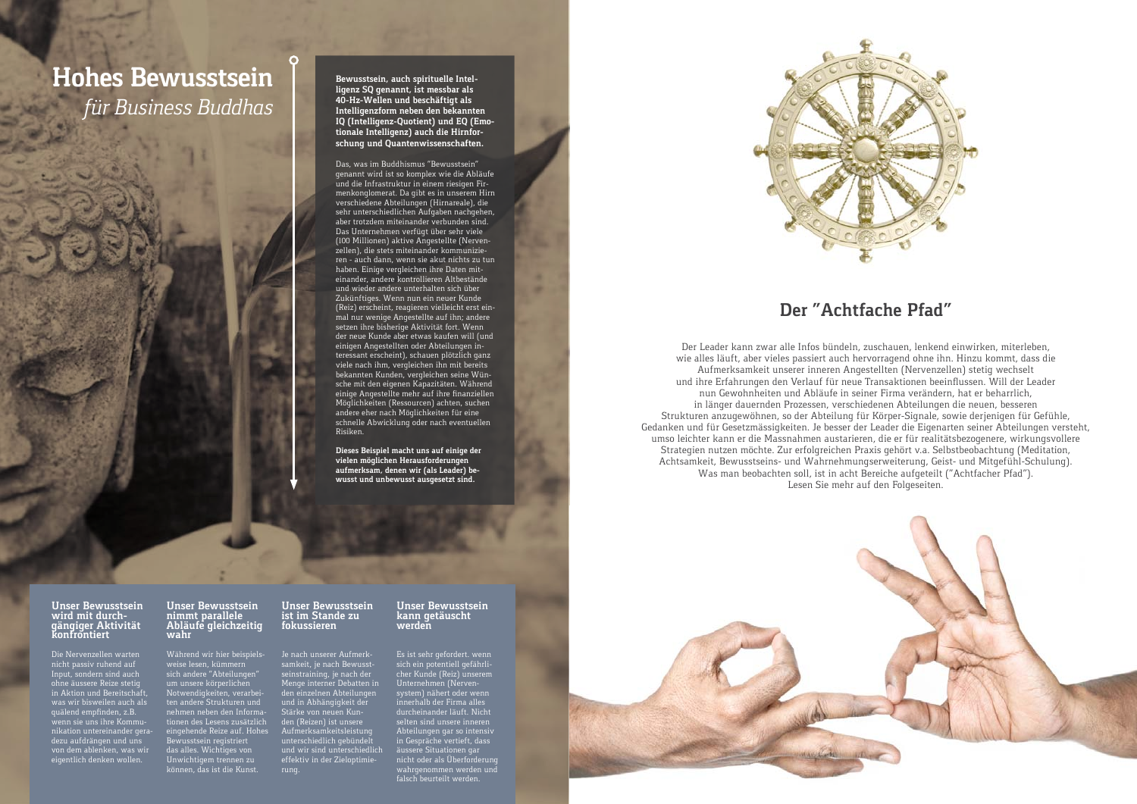



## **Hohes Bewusstsein** *für Business Buddhas*

#### **Unser Bewusstsein wird mit durch- gängiger Aktivität konfrontiert**

Die Nervenzellen warten nicht passiv ruhend auf Input, sondern sind auch ohne äussere Reize stetig in Aktion und Bereitschaft, was wir bisweilen auch als quälend empfinden, z.B. wenn sie uns ihre Kommunikation untereinander geradezu aufdrängen und uns von dem ablenken, was wir eigentlich denken wollen.

#### **Unser Bewusstsein nimmt parallele Abläufe gleichzeitig wahr**

Während wir hier beispielsweise lesen, kümmern sich andere "Abteilungen" um unsere körperlichen Notwendigkeiten, verarbeiten andere Strukturen und nehmen neben den Informationen des Lesens zusätzlich eingehende Reize auf. Hohes Bewusstsein registriert das alles. Wichtiges von Unwichtigem trennen zu können, das ist die Kunst.

#### **Unser Bewusstsein ist im Stande zu fokussieren**

Je nach unserer Aufmerksamkeit, je nach Bewusstseinstraining, je nach der Menge interner Debatten in den einzelnen Abteilungen und in Abhängigkeit der Stärke von neuen Kunden (Reizen) ist unsere Aufmerksamkeitsleistung unterschiedlich gebündelt und wir sind unterschiedlich effektiv in der Zieloptimierung.

#### **Unser Bewusstsein kann getäuscht werden**

Es ist sehr gefordert. wenn sich ein potentiell gefährlicher Kunde (Reiz) unserem Unternehmen (Nervensystem) nähert oder wenn innerhalb der Firma alles durcheinander läuft. Nicht selten sind unsere inneren Abteilungen gar so intensiv in Gespräche vertieft, dass äussere Situationen gar nicht oder als Überforderung wahrgenommen werden und falsch beurteilt werden.

**Bewusstsein, auch spirituelle Intelligenz SQ genannt, ist messbar als 40-Hz-Wellen und beschäftigt als Intelligenzform neben den bekannten IQ (Intelligenz-Quotient) und EQ (Emotionale Intelligenz) auch die Hirnforschung und Quantenwissenschaften.**

Das, was im Buddhismus "Bewusstsein" genannt wird ist so komplex wie die Abläufe und die Infrastruktur in einem riesigen Firmenkonglomerat. Da gibt es in unserem Hirn verschiedene Abteilungen (Hirnareale), die sehr unterschiedlichen Aufgaben nachgehen, aber trotzdem miteinander verbunden sind. Das Unternehmen verfügt über sehr viele (100 Millionen) aktive Angestellte (Nervenzellen), die stets miteinander kommunizieren – auch dann, wenn sie akut nichts zu tun haben. Einige vergleichen ihre Daten miteinander, andere kontrollieren Altbestände und wieder andere unterhalten sich über Zukünftiges. Wenn nun ein neuer Kunde (Reiz) erscheint, reagieren vielleicht erst einmal nur wenige Angestellte auf ihn; andere setzen ihre bisherige Aktivität fort. Wenn der neue Kunde aber etwas kaufen will (und einigen Angestellten oder Abteilungen interessant erscheint), schauen plötzlich ganz viele nach ihm, vergleichen ihn mit bereits bekannten Kunden, vergleichen seine Wünsche mit den eigenen Kapazitäten. Während einige Angestellte mehr auf ihre finanziellen Möglichkeiten (Ressourcen) achten, suchen andere eher nach Möglichkeiten für eine schnelle Abwicklung oder nach eventuellen Risiken.

**Dieses Beispiel macht uns auf einige der vielen möglichen Herausforderungen aufmerksam, denen wir (als Leader) bewusst und unbewusst ausgesetzt sind.**

### **Der "Achtfache Pfad"**

Der Leader kann zwar alle Infos bündeln, zuschauen, lenkend einwirken, miterleben, wie alles läuft, aber vieles passiert auch hervorragend ohne ihn. Hinzu kommt, dass die Aufmerksamkeit unserer inneren Angestellten (Nervenzellen) stetig wechselt und ihre Erfahrungen den Verlauf für neue Transaktionen beeinflussen. Will der Leader nun Gewohnheiten und Abläufe in seiner Firma verändern, hat er beharrlich, in länger dauernden Prozessen, verschiedenen Abteilungen die neuen, besseren Strukturen anzugewöhnen, so der Abteilung für Körper-Signale, sowie derjenigen für Gefühle, Gedanken und für Gesetzmässigkeiten. Je besser der Leader die Eigenarten seiner Abteilungen versteht, umso leichter kann er die Massnahmen austarieren, die er für realitätsbezogenere, wirkungsvollere Strategien nutzen möchte. Zur erfolgreichen Praxis gehört v.a. Selbstbeobachtung (Meditation, Achtsamkeit, Bewusstseins- und Wahrnehmungserweiterung, Geist- und Mitgefühl-Schulung). Was man beobachten soll, ist in acht Bereiche aufgeteilt ("Achtfacher Pfad"). Lesen Sie mehr auf den Folgeseiten.